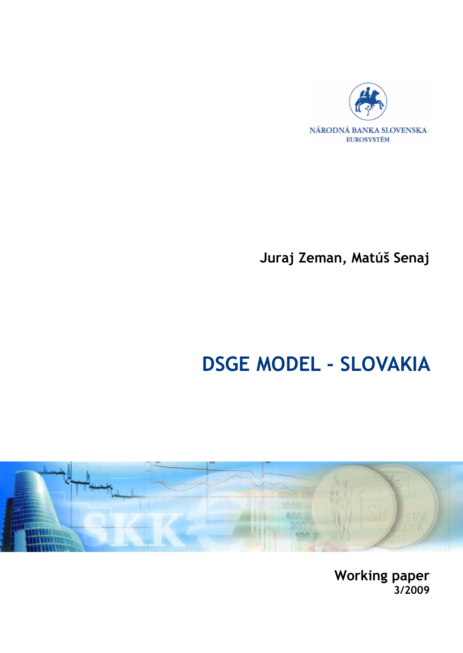

**Juraj Zeman, Matúš Senaj** 

# **DSGE MODEL - SLOVAKIA**



**Working paper 3/2009**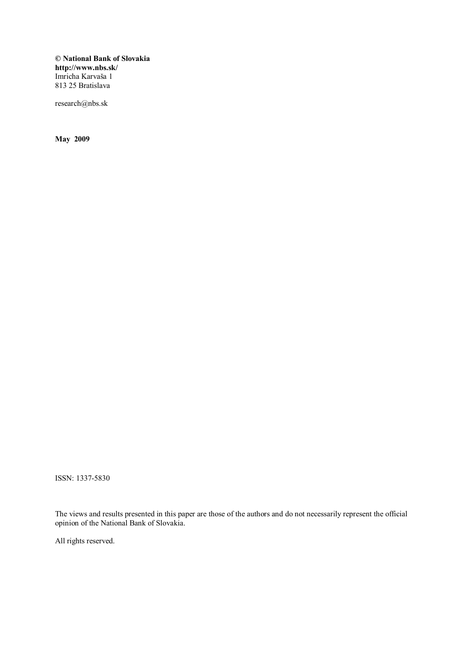**© National Bank of Slovakia http://www.nbs.sk/**  Imricha Karvaša 1 813 25 Bratislava

research@nbs.sk

**May 2009** 

ISSN: 1337-5830

The views and results presented in this paper are those of the authors and do not necessarily represent the official opinion of the National Bank of Slovakia.

All rights reserved.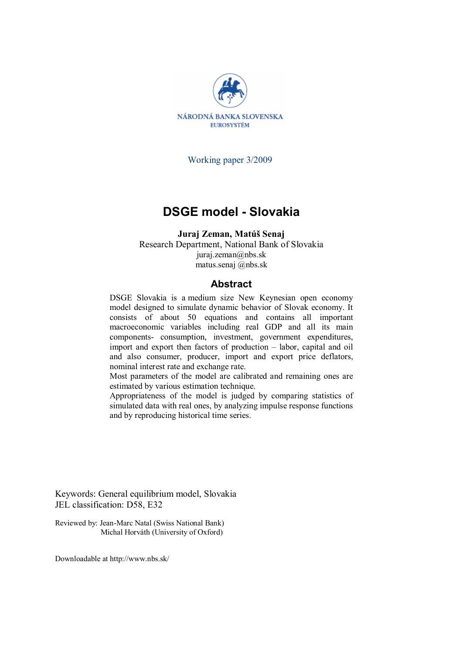

Working paper 3/2009

### **DSGE model - Slovakia**

**Juraj Zeman, Matúš Senaj**  Research Department, National Bank of Slovakia juraj.zeman@nbs.sk matus.senaj @nbs.sk

#### **Abstract**

DSGE Slovakia is a medium size New Keynesian open economy model designed to simulate dynamic behavior of Slovak economy. It consists of about 50 equations and contains all important macroeconomic variables including real GDP and all its main components- consumption, investment, government expenditures, import and export then factors of production – labor, capital and oil and also consumer, producer, import and export price deflators, nominal interest rate and exchange rate.

Most parameters of the model are calibrated and remaining ones are estimated by various estimation technique.

Appropriateness of the model is judged by comparing statistics of simulated data with real ones, by analyzing impulse response functions and by reproducing historical time series.

Keywords: General equilibrium model, Slovakia JEL classification: D58, E32

Reviewed by: Jean-Marc Natal (Swiss National Bank) Michal Horváth (University of Oxford)

Downloadable at http://www.nbs.sk/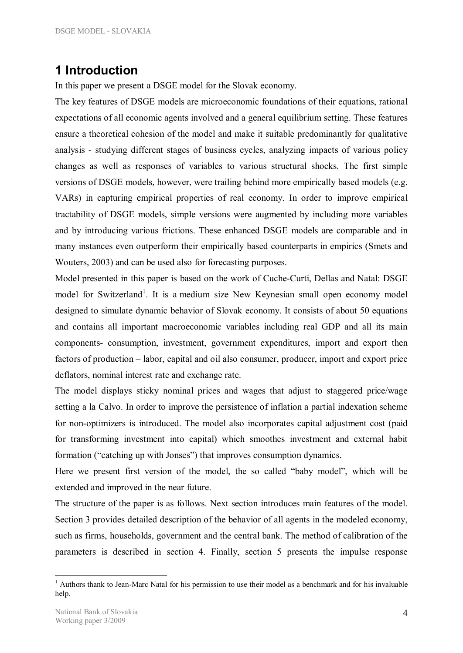# **1 Introduction**

In this paper we present a DSGE model for the Slovak economy.

The key features of DSGE models are microeconomic foundations of their equations, rational expectations of all economic agents involved and a general equilibrium setting. These features ensure a theoretical cohesion of the model and make it suitable predominantly for qualitative analysis - studying different stages of business cycles, analyzing impacts of various policy changes as well as responses of variables to various structural shocks. The first simple versions of DSGE models, however, were trailing behind more empirically based models (e.g. VARs) in capturing empirical properties of real economy. In order to improve empirical tractability of DSGE models, simple versions were augmented by including more variables and by introducing various frictions. These enhanced DSGE models are comparable and in many instances even outperform their empirically based counterparts in empirics (Smets and Wouters, 2003) and can be used also for forecasting purposes.

Model presented in this paper is based on the work of Cuche-Curti, Dellas and Natal: DSGE model for Switzerland<sup>1</sup>. It is a medium size New Keynesian small open economy model designed to simulate dynamic behavior of Slovak economy. It consists of about 50 equations and contains all important macroeconomic variables including real GDP and all its main components- consumption, investment, government expenditures, import and export then factors of production – labor, capital and oil also consumer, producer, import and export price deflators, nominal interest rate and exchange rate.

The model displays sticky nominal prices and wages that adjust to staggered price/wage setting a la Calvo. In order to improve the persistence of inflation a partial indexation scheme for non-optimizers is introduced. The model also incorporates capital adjustment cost (paid for transforming investment into capital) which smoothes investment and external habit formation ("catching up with Jonses") that improves consumption dynamics.

Here we present first version of the model, the so called "baby model", which will be extended and improved in the near future.

The structure of the paper is as follows. Next section introduces main features of the model. Section 3 provides detailed description of the behavior of all agents in the modeled economy, such as firms, households, government and the central bank. The method of calibration of the parameters is described in section 4. Finally, section 5 presents the impulse response

<sup>&</sup>lt;sup>1</sup> Authors thank to Jean-Marc Natal for his permission to use their model as a benchmark and for his invaluable help.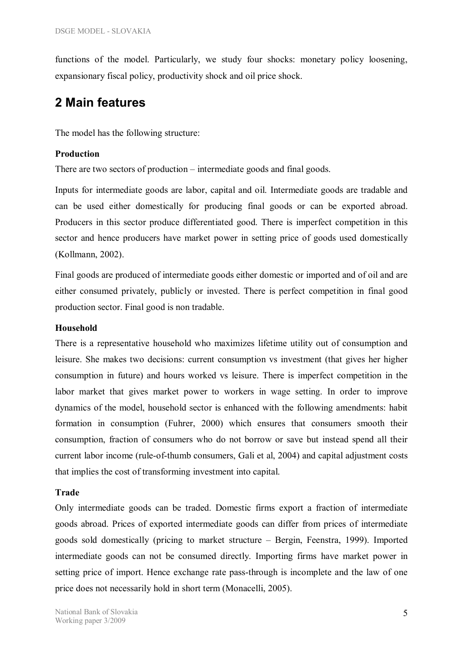functions of the model. Particularly, we study four shocks: monetary policy loosening, expansionary fiscal policy, productivity shock and oil price shock.

### **2 Main features**

The model has the following structure:

#### **Production**

There are two sectors of production – intermediate goods and final goods.

Inputs for intermediate goods are labor, capital and oil. Intermediate goods are tradable and can be used either domestically for producing final goods or can be exported abroad. Producers in this sector produce differentiated good. There is imperfect competition in this sector and hence producers have market power in setting price of goods used domestically (Kollmann, 2002).

Final goods are produced of intermediate goods either domestic or imported and of oil and are either consumed privately, publicly or invested. There is perfect competition in final good production sector. Final good is non tradable.

#### **Household**

There is a representative household who maximizes lifetime utility out of consumption and leisure. She makes two decisions: current consumption vs investment (that gives her higher consumption in future) and hours worked vs leisure. There is imperfect competition in the labor market that gives market power to workers in wage setting. In order to improve dynamics of the model, household sector is enhanced with the following amendments: habit formation in consumption (Fuhrer, 2000) which ensures that consumers smooth their consumption, fraction of consumers who do not borrow or save but instead spend all their current labor income (rule-of-thumb consumers, Gali et al, 2004) and capital adjustment costs that implies the cost of transforming investment into capital.

#### **Trade**

Only intermediate goods can be traded. Domestic firms export a fraction of intermediate goods abroad. Prices of exported intermediate goods can differ from prices of intermediate goods sold domestically (pricing to market structure – Bergin, Feenstra, 1999). Imported intermediate goods can not be consumed directly. Importing firms have market power in setting price of import. Hence exchange rate pass-through is incomplete and the law of one price does not necessarily hold in short term (Monacelli, 2005).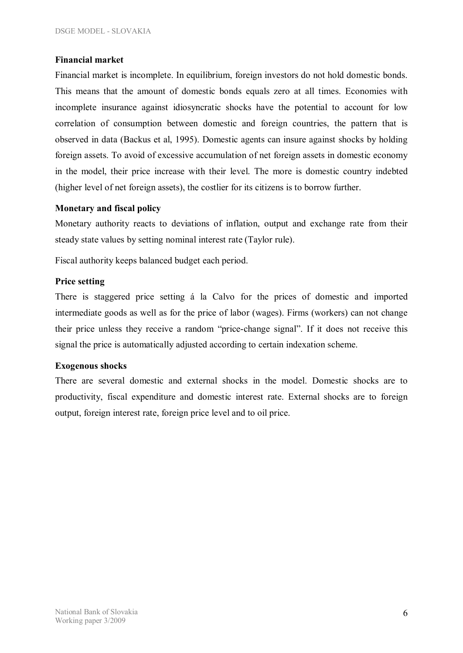#### **Financial market**

Financial market is incomplete. In equilibrium, foreign investors do not hold domestic bonds. This means that the amount of domestic bonds equals zero at all times. Economies with incomplete insurance against idiosyncratic shocks have the potential to account for low correlation of consumption between domestic and foreign countries, the pattern that is observed in data (Backus et al, 1995). Domestic agents can insure against shocks by holding foreign assets. To avoid of excessive accumulation of net foreign assets in domestic economy in the model, their price increase with their level. The more is domestic country indebted (higher level of net foreign assets), the costlier for its citizens is to borrow further.

#### **Monetary and fiscal policy**

Monetary authority reacts to deviations of inflation, output and exchange rate from their steady state values by setting nominal interest rate (Taylor rule).

Fiscal authority keeps balanced budget each period.

#### **Price setting**

There is staggered price setting á la Calvo for the prices of domestic and imported intermediate goods as well as for the price of labor (wages). Firms (workers) can not change their price unless they receive a random "price-change signal". If it does not receive this signal the price is automatically adjusted according to certain indexation scheme.

#### **Exogenous shocks**

There are several domestic and external shocks in the model. Domestic shocks are to productivity, fiscal expenditure and domestic interest rate. External shocks are to foreign output, foreign interest rate, foreign price level and to oil price.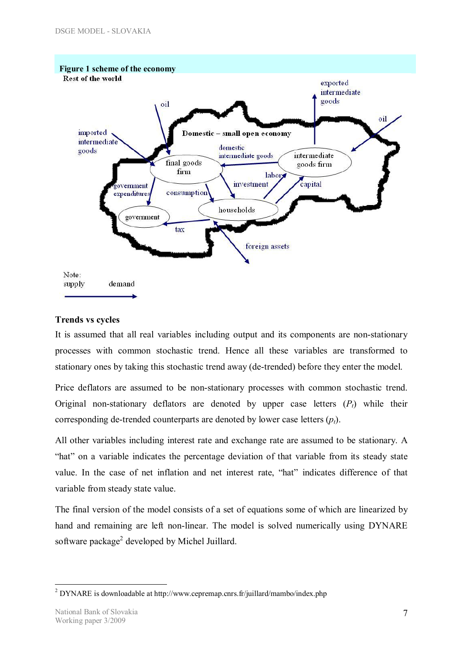

#### **Trends vs cycles**

It is assumed that all real variables including output and its components are non-stationary processes with common stochastic trend. Hence all these variables are transformed to stationary ones by taking this stochastic trend away (de-trended) before they enter the model.

Price deflators are assumed to be non-stationary processes with common stochastic trend. Original non-stationary deflators are denoted by upper case letters  $(P_t)$  while their corresponding de-trended counterparts are denoted by lower case letters (*pt*).

All other variables including interest rate and exchange rate are assumed to be stationary. A "hat" on a variable indicates the percentage deviation of that variable from its steady state value. In the case of net inflation and net interest rate, "hat" indicates difference of that variable from steady state value.

The final version of the model consists of a set of equations some of which are linearized by hand and remaining are left non-linear. The model is solved numerically using DYNARE software package<sup>2</sup> developed by Michel Juillard.

 $\overline{a}$ <sup>2</sup> DYNARE is downloadable at http://www.cepremap.cnrs.fr/juillard/mambo/index.php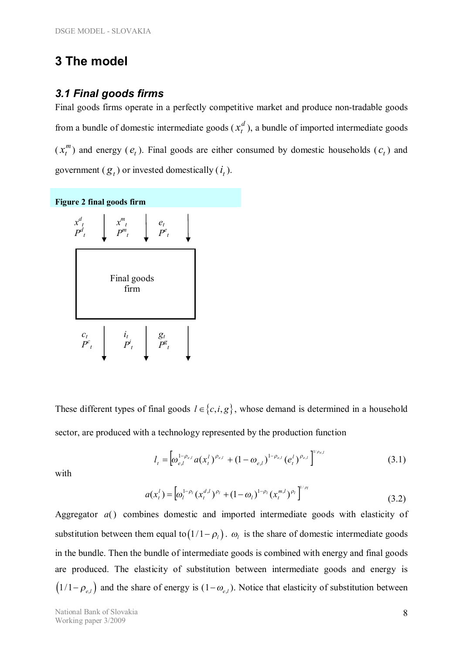## **3 The model**

### *3.1 Final goods firms*

Final goods firms operate in a perfectly competitive market and produce non-tradable goods from a bundle of domestic intermediate goods  $(x_t^d)$ , a bundle of imported intermediate goods  $(x_t^m)$  $x_t^m$ ) and energy ( $e_t$ ). Final goods are either consumed by domestic households ( $c_t$ ) and government  $(g_t)$  or invested domestically  $(i_t)$ .



These different types of final goods  $l \in \{c, i, g\}$ , whose demand is determined in a household sector, are produced with a technology represented by the production function

$$
l_{t} = \left[\omega_{e,l}^{1-\rho_{e,l}} a(x_t^l)^{\rho_{e,l}} + (1-\omega_{e,l})^{1-\rho_{e,l}} (e_t^l)^{\rho_{e,l}}\right]^{1/\rho_{e,l}}
$$
(3.1)

with

$$
a(x_t^l) = \left[\omega_l^{1-\rho_l} (x_t^{d,l})^{\rho_l} + (1-\omega_l)^{1-\rho_l} (x_t^{m,l})^{\rho_l}\right]^{1/\rho_l}
$$
\n(3.2)

Aggregator *a*() combines domestic and imported intermediate goods with elasticity of substitution between them equal to  $(1/1 - \rho_l)$ .  $\omega_l$  is the share of domestic intermediate goods in the bundle. Then the bundle of intermediate goods is combined with energy and final goods are produced. The elasticity of substitution between intermediate goods and energy is  $(1/1 - \rho_{e,l})$  and the share of energy is  $(1 - \omega_{e,l})$ . Notice that elasticity of substitution between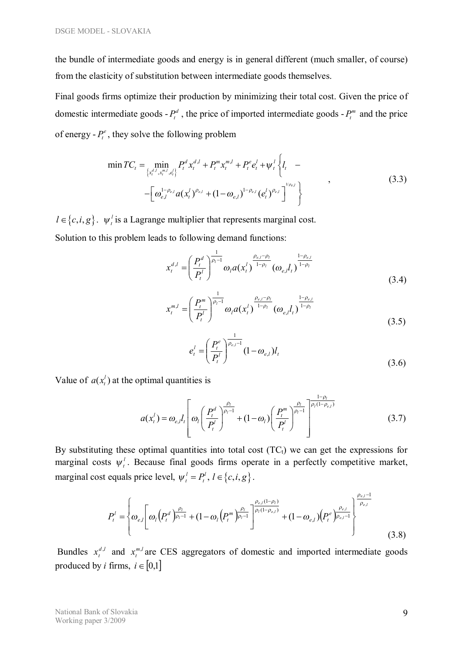the bundle of intermediate goods and energy is in general different (much smaller, of course) from the elasticity of substitution between intermediate goods themselves.

Final goods firms optimize their production by minimizing their total cost. Given the price of domestic intermediate goods  $-P_t^d$ , the price of imported intermediate goods  $-P_t^m$  and the price of energy  $-P_t^e$ , they solve the following problem

$$
\min TC_{t} = \min_{\left\{x_t^{d,l}, x_t^{m,l}, e_t^{l}\right\}} P_t^{d} x_t^{d,l} + P_t^{m} x_t^{m,l} + P_t^{e} e_t^{l} + \psi_t^{l} \left\{ l_t - \left[ \omega_{e,l}^{1-\rho_{e,l}} a(x_t^{l})^{\rho_{e,l}} + (1-\omega_{e,l})^{1-\rho_{e,l}} (e_t^{l})^{\rho_{e,l}} \right]^{1/\rho_{e,l}} \right\}
$$
\n(3.3)

 $l \in \{c, i, g\}$ .  $\psi_i^l$  is a Lagrange multiplier that represents marginal cost. Solution to this problem leads to following demand functions:

$$
x_t^{d,l} = \left(\frac{P_t^d}{P_t^l}\right)^{\frac{1}{\rho_l - 1}} \omega_l a(x_t^l)^{\frac{\rho_{e,l} - \rho_l}{1 - \rho_l}} (\omega_{e,l} l_t)^{\frac{1 - \rho_{e,l}}{1 - \rho_l}}
$$
(3.4)

$$
x_t^{m,l} = \left(\frac{P_t^m}{P_t^l}\right)^{\frac{1}{\rho_l - 1}} \omega_l a(x_t^l)^{\frac{\rho_{e,l} - \rho_l}{1 - \rho_l}} (\omega_{e,l} l_t)^{\frac{1 - \rho_{e,l}}{1 - \rho_l}}
$$
(3.5)

$$
e_{t}^{l} = \left(\frac{P_{t}^{e}}{P_{t}^{l}}\right)^{\frac{1}{\rho_{e,l}-1}} (1 - \omega_{e,l}) l_{t}
$$
\n(3.6)

Value of  $a(x_i^l)$  at the optimal quantities is

$$
a(x_t^l) = \omega_{e,l} l_t \left[ \omega_l \left( \frac{P_t^d}{P_t^l} \right)^{\frac{\rho_l}{\rho_l - 1}} + (1 - \omega_l) \left( \frac{P_t^m}{P_t^l} \right)^{\frac{\rho_l}{\rho_l - 1}} \right]^{1 - \rho_l \over \rho_l (1 - \rho_{e,l})} \tag{3.7}
$$

By substituting these optimal quantities into total cost  $(TC_t)$  we can get the expressions for marginal costs  $\psi_t^l$ . Because final goods firms operate in a perfectly competitive market, marginal cost equals price level,  $\psi_t^l = P_t^l$ ,  $l \in \{c, i, g\}$ .

$$
P_{t}^{l} = \left\{\omega_{e,l} \left[\omega_{l} \left(P_{t}^{d}\right)_{\rho_{l}-1}^{\frac{\rho_{l}}{\rho_{l}-1}} + (1-\omega_{l} \left(P_{t}^{m}\right)_{\rho_{l}-1}^{\frac{\rho_{e,l}(1-\rho_{l})}{\rho_{l}(1-\rho_{e,l})}} + (1-\omega_{e,l}) \left(P_{t}^{e}\right)_{\rho_{e,l}-1}^{\frac{\rho_{e,l}}{\rho_{e,l}}} \right] \right\}^{\frac{\rho_{e,l}-1}{\rho_{e,l}}} \tag{3.8}
$$

Bundles  $x_t^{d,l}$  and  $x_t^{m,l}$  are CES aggregators of domestic and imported intermediate goods produced by *i* firms,  $i \in [0,1]$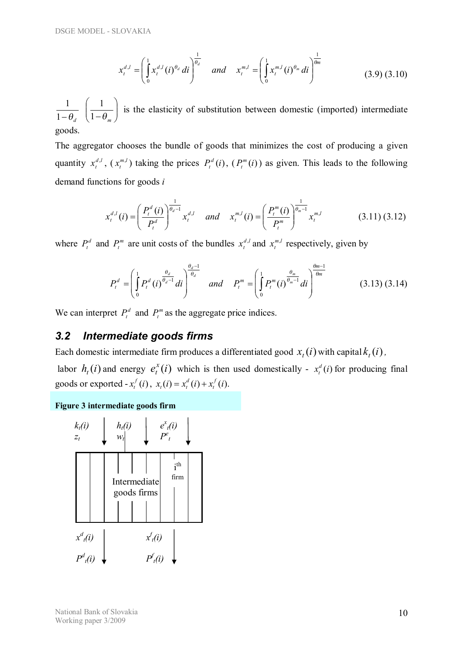$$
x_t^{d,l} = \left(\int_0^1 x_t^{d,l}(i)^{\theta_d} di\right)^{\frac{1}{\theta_d}} \quad \text{and} \quad x_t^{m,l} = \left(\int_0^1 x_t^{m,l}(i)^{\theta_m} di\right)^{\frac{1}{\theta_m}}
$$
(3.9) (3.10)

 $1-\theta_d$ 1  $\overline{\phantom{a}}$ ø  $\setminus$  $\overline{\phantom{a}}$  $\setminus$ æ  $1-\theta_m$  $\left(\frac{1}{2}\right)$  is the elasticity of substitution between domestic (imported) intermediate goods.

The aggregator chooses the bundle of goods that minimizes the cost of producing a given quantity  $x_t^{d,l}$ ,  $(x_t^{m,l})$  taking the prices  $P_t^d(i)$  $P_t^d(i)$ ,  $(P_t^m(i)$  $P_t^m(i)$  as given. This leads to the following demand functions for goods *i* 

$$
x_t^{d,l}(i) = \left(\frac{P_t^d(i)}{P_t^d}\right)^{\frac{1}{\theta_d - 1}} x_t^{d,l} \quad \text{and} \quad x_t^{m,l}(i) = \left(\frac{P_t^m(i)}{P_t^m}\right)^{\frac{1}{\theta_m - 1}} x_t^{m,l} \tag{3.11\,3.12}
$$

where  $P_t^d$  and  $P_t^m$  are unit costs of the bundles  $x_t^{d,l}$  and  $x_t^{m,l}$  respectively, given by

$$
P_t^d = \left(\int_0^1 P_t^d\left(i\right)^{\frac{\theta_d}{\theta_d-1}} di\right)^{\frac{\theta_d-1}{\theta_d}} \quad \text{and} \quad P_t^m = \left(\int_0^1 P_t^m\left(i\right)^{\frac{\theta_m}{\theta_m-1}} di\right)^{\frac{\theta_m-1}{\theta_m}} \tag{3.13} (3.14)
$$

We can interpret  $P_t^d$  and  $P_t^m$  as the aggregate price indices.

### *3.2 Intermediate goods firms*

Each domestic intermediate firm produces a differentiated good  $x_i(i)$  with capital  $k_i(i)$ ,

labor  $h_t(i)$  and energy  $e_t^x(i)$  which is then used domestically -  $x_t^d(i)$  for producing final goods or exported  $-x_i^f(i)$ ,  $x_i(i) = x_i^d(i) + x_i^f(i)$ .

#### **Figure 3 intermediate goods firm**

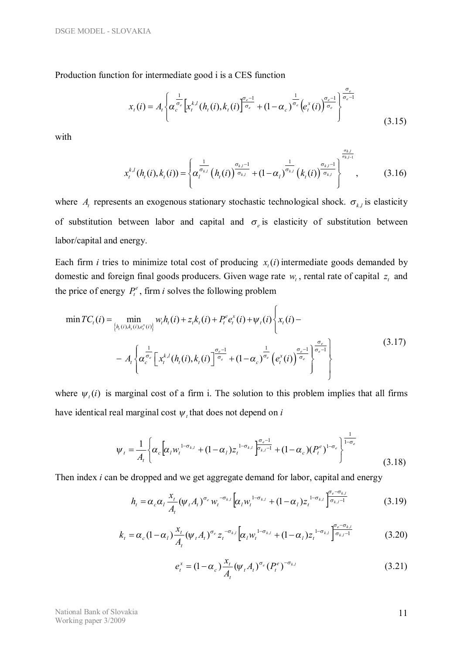Production function for intermediate good i is a CES function

$$
x_{t}(i) = A_{t} \left\{ \alpha_{c}^{\frac{1}{\sigma_{e}}} \left[ x_{t}^{k,l}(h_{t}(i), k_{t}(i)) \right]^{\frac{\sigma_{e}-1}{\sigma_{e}}} + (1 - \alpha_{c})^{\frac{1}{\sigma_{e}}} \left( e_{t}^{x}(i) \right)^{\frac{\sigma_{e}-1}{\sigma_{e}}} \right\}^{\frac{\sigma_{e}}{\sigma_{e}-1}}
$$
(3.15)

with

$$
x_{t}^{k,l}(h_{t}(i),k_{t}(i)) = \left\{\alpha_{t}^{\frac{1}{\sigma_{k,l}}}\left(h_{t}(i)\right)^{\frac{\sigma_{k,l}-1}{\sigma_{k,l}}} + (1-\alpha_{t})^{\frac{1}{\sigma_{k,l}}}\left(k_{t}(i)\right)^{\frac{\sigma_{k,l}-1}{\sigma_{k,l}}} \right\}^{\frac{\sigma_{k,l}}{\sigma_{k,l}-1}} , \qquad (3.16)
$$

where  $A_t$  represents an exogenous stationary stochastic technological shock.  $\sigma_{k,l}$  is elasticity of substitution between labor and capital and  $\sigma_e$  is elasticity of substitution between labor/capital and energy.

Each firm *i* tries to minimize total cost of producing  $x<sub>t</sub>(i)$  intermediate goods demanded by domestic and foreign final goods producers. Given wage rate  $w_t$ , rental rate of capital  $z_t$  and the price of energy  $P_t^e$ , firm *i* solves the following problem

$$
\min TC_t(i) = \min_{\{h_t(i), k_t(i), e_t^x(i)\}} w_t h_t(i) + z_t k_t(i) + P_t^e e_t^x(i) + \psi_t(i) \left\{ x_t(i) - A_t \left\{ \alpha_c^{\frac{1}{\sigma_c}} \left[ x_t^{k,l}(h_t(i), k_t(i)) \right]^{\frac{\sigma_c - 1}{\sigma_c}} + (1 - \alpha_c)^{\frac{1}{\sigma_c}} \left( e_t^x(i) \right)^{\frac{\sigma_c - 1}{\sigma_c}} \right\}^{\frac{\sigma_c}{\sigma_c - 1}}
$$
\n(3.17)

where  $\psi_i(i)$  is marginal cost of a firm i. The solution to this problem implies that all firms have identical real marginal cost  $\psi_t$  that does not depend on *i* 

$$
\psi_{t} = \frac{1}{A_{t}} \left\{ \alpha_{c} \left[ \alpha_{l} w_{t}^{1-\sigma_{k,l}} + (1-\alpha_{l}) z_{t}^{1-\sigma_{k,l}} \right]_{\sigma_{k,l}-1}^{\sigma_{e}-1} + (1-\alpha_{c}) (P_{t}^{e})^{1-\sigma_{e}} \right\}^{\frac{1}{1-\sigma_{e}}} \tag{3.18}
$$

Then index *i* can be dropped and we get aggregate demand for labor, capital and energy

$$
h_t = \alpha_c \alpha_l \frac{x_t}{A_t} (\psi_t A_t)^{\sigma_e} w_t^{-\sigma_{k,l}} \left[ \alpha_l w_t^{1-\sigma_{k,l}} + (1-\alpha_l) z_t^{1-\sigma_{k,l}} \right]^{\sigma_e - \sigma_{k,l}} \tag{3.19}
$$

$$
k_{t} = \alpha_{c} (1 - \alpha_{l}) \frac{x_{t}}{A_{t}} (\psi_{t} A_{t})^{\sigma_{e}} z_{t}^{-\sigma_{k,l}} \left[ \alpha_{l} w_{t}^{1 - \sigma_{k,l}} + (1 - \alpha_{l}) z_{t}^{-1 - \sigma_{k,l}} \right]^{\sigma_{e} - \sigma_{k,l}} \tag{3.20}
$$

$$
e_t^x = (1 - \alpha_c) \frac{x_t}{A_t} (\psi_t A_t)^{\sigma_e} (P_t^e)^{-\sigma_{k,l}}
$$
(3.21)

National Bank of Slovakia Working paper 3/2009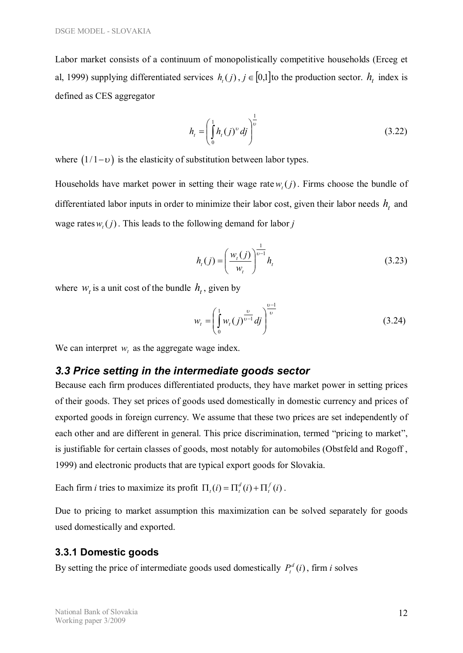Labor market consists of a continuum of monopolistically competitive households (Erceg et al, 1999) supplying differentiated services  $h_i(j)$ ,  $j \in [0,1]$  to the production sector.  $h_i$  index is defined as CES aggregator

$$
h_{t} = \left(\int_{0}^{1} h_{t}(j)^{v} \, dj\right)^{\frac{1}{v}} \tag{3.22}
$$

where  $(1/1-\nu)$  is the elasticity of substitution between labor types.

Households have market power in setting their wage rate  $w_t(j)$ . Firms choose the bundle of differentiated labor inputs in order to minimize their labor cost, given their labor needs  $h_t$  and wage rates  $w_t(j)$ . This leads to the following demand for labor *j* 

$$
h_{t}(j) = \left(\frac{w_{t}(j)}{w_{t}}\right)^{\frac{1}{\nu-1}} h_{t}
$$
 (3.23)

where  $w_t$  is a unit cost of the bundle  $h_t$ , given by

$$
w_{t} = \left(\int_{0}^{1} w_{t}(j)^{\frac{\upsilon}{\upsilon - 1}} dj\right)^{\frac{\upsilon - 1}{\upsilon}}
$$
(3.24)

We can interpret  $w_t$  as the aggregate wage index.

#### *3.3 Price setting in the intermediate goods sector*

Because each firm produces differentiated products, they have market power in setting prices of their goods. They set prices of goods used domestically in domestic currency and prices of exported goods in foreign currency. We assume that these two prices are set independently of each other and are different in general. This price discrimination, termed "pricing to market", is justifiable for certain classes of goods, most notably for automobiles (Obstfeld and Rogoff , 1999) and electronic products that are typical export goods for Slovakia.

Each firm *i* tries to maximize its profit  $\Pi_t(i) = \Pi_t^d(i) + \Pi_t^f(i)$ .

Due to pricing to market assumption this maximization can be solved separately for goods used domestically and exported.

#### **3.3.1 Domestic goods**

By setting the price of intermediate goods used domestically  $P_t^d(i)$  $P_t^d(i)$ , firm *i* solves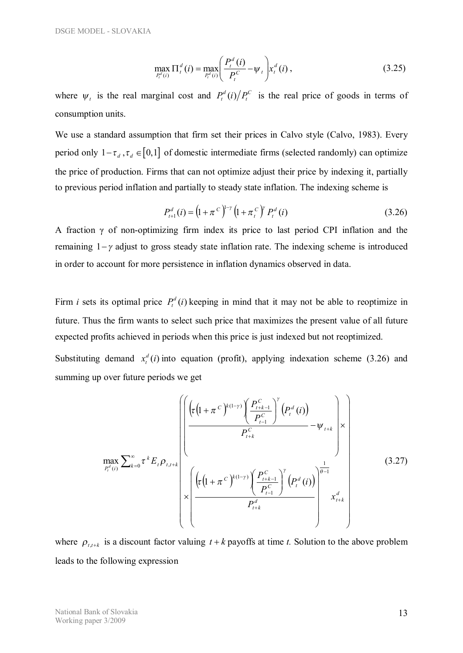$$
\max_{P_t^d(i)} \Pi_t^d(i) = \max_{P_t^d(i)} \left( \frac{P_t^d(i)}{P_t^c} - \psi_t \right) x_t^d(i),
$$
\n(3.25)

where  $\psi_t$  is the real marginal cost and  $P_t^d(i)/P_t^C$  is the real price of goods in terms of consumption units.

We use a standard assumption that firm set their prices in Calvo style (Calvo, 1983). Every period only  $1 - \tau_d$ ,  $\tau_d \in [0,1]$  of domestic intermediate firms (selected randomly) can optimize the price of production. Firms that can not optimize adjust their price by indexing it, partially to previous period inflation and partially to steady state inflation. The indexing scheme is

$$
P_{t+1}^d(i) = \left(1 + \pi^C\right)^{1-\gamma} \left(1 + \pi_t^C\right)^{\gamma} P_t^d(i)
$$
 (3.26)

A fraction γ of non-optimizing firm index its price to last period CPI inflation and the remaining  $1-\gamma$  adjust to gross steady state inflation rate. The indexing scheme is introduced in order to account for more persistence in inflation dynamics observed in data.

Firm *i* sets its optimal price  $P_t^d(i)$  keeping in mind that it may not be able to reoptimize in future. Thus the firm wants to select such price that maximizes the present value of all future expected profits achieved in periods when this price is just indexed but not reoptimized.

Substituting demand  $x_t^d(i)$  into equation (profit), applying indexation scheme (3.26) and summing up over future periods we get

$$
\max_{P_t^d(i)} \sum_{k=0}^{\infty} \tau^k E_t \rho_{t,t+k} \left\{ \frac{\left( \tau \left( 1 + \pi^C \right)^{k(1-\gamma)} \left( \frac{P_{t+k-1}^C}{P_{t-1}^C} \right)^r \left( P_t^d(i) \right) - \psi_{t+k} \right) \times \left( \frac{\left( \tau \left( 1 + \pi^C \right)^{k(1-\gamma)} \left( \frac{P_{t+k-1}^C}{P_{t-1}^C} \right)^r \left( P_t^d(i) \right) \right)^{\frac{1}{\theta-1}}}{P_{t+k}^d} \right\} \tag{3.27}
$$

where  $\rho_{t,t+k}$  is a discount factor valuing  $t+k$  payoffs at time *t*. Solution to the above problem leads to the following expression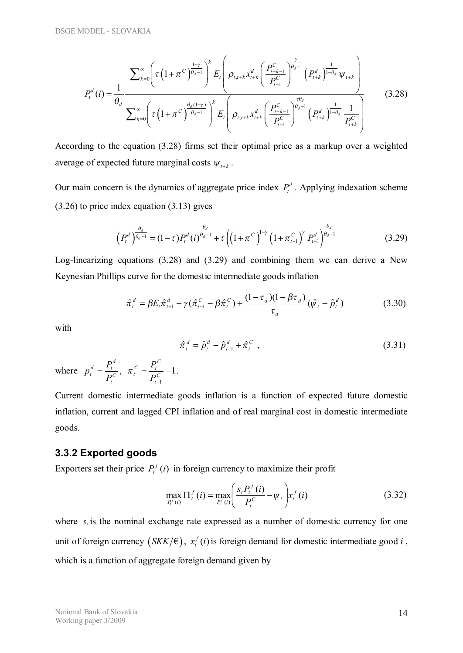$$
P_{t}^{d}(i) = \frac{1}{\theta_{d}} \frac{\sum_{k=0}^{\infty} \left(\tau \left(1 + \pi^{C}\right)^{\frac{1-\gamma}{\theta_{d}-1}}\right)^{k} E_{t} \left(\rho_{t,t+k} x_{t+k}^{d} \left(\frac{P_{t+k-1}^{C}}{P_{t-1}^{C}}\right)^{\frac{\gamma}{\theta_{d}-1}} \left(P_{t+k}^{d}\right)^{\frac{1}{1-\theta_{d}}} \psi_{t+k}\right)}{\sum_{k=0}^{\infty} \left(\tau \left(1 + \pi^{C}\right)^{\frac{\theta_{d}(1-\gamma)}{\theta_{d}-1}}\right)^{k} E_{t} \left(\rho_{t,t+k} x_{t+k}^{d} \left(\frac{P_{t+k-1}^{C}}{P_{t-1}^{C}}\right)^{\frac{\gamma\theta_{d}}{\theta_{d}-1}} \left(P_{t+k}^{d}\right)^{\frac{1}{1-\theta_{d}}} \frac{1}{P_{t+k}^{C}}\right)}
$$
(3.28)

According to the equation (3.28) firms set their optimal price as a markup over a weighted average of expected future marginal costs  $\psi_{t+k}$ .

Our main concern is the dynamics of aggregate price index  $P_t^d$ . Applying indexation scheme (3.26) to price index equation (3.13) gives

$$
\left(P_t^d\right)^{\frac{\theta_d}{\theta_d - 1}} = (1 - \tau)P_t^d\left(i\right)^{\frac{\theta_d}{\theta_d - 1}} + \tau \left(\left(1 + \pi^C\right)^{1 - \gamma} \left(1 + \pi^C_{t-1}\right)^{\gamma} P_{t-1}^d\right)^{\frac{\theta_d}{\theta_d - 1}}\tag{3.29}
$$

Log-linearizing equations (3.28) and (3.29) and combining them we can derive a New Keynesian Phillips curve for the domestic intermediate goods inflation

$$
\hat{\pi}_t^d = \beta E_t \hat{\pi}_{t+1}^d + \gamma (\hat{\pi}_{t-1}^C - \beta \hat{\pi}_t^C) + \frac{(1 - \tau_d)(1 - \beta \tau_d)}{\tau_d} (\hat{\psi}_t - \hat{p}_t^d)
$$
(3.30)

with

$$
\hat{\pi}_t^d = \hat{p}_t^d - \hat{p}_{t-1}^d + \hat{\pi}_t^C,
$$
\n(3.31)

where  $p_t^d = \frac{I_t}{R}$ ,  $\pi_t^C = \frac{I_t}{R} - 1$ 1  $=\frac{I_t}{R}$ ,  $\pi_t^C = \frac{I_t}{R}$ - *C t*  $c \equiv P_t^C$  $\overline{c}$  ,  $\mu_t$ *t*  $\frac{d}{dt} = \frac{P_t^d}{P_t^C}, \quad \pi_t^C = \frac{P_t^T}{P_t^T}$ *P P*  $p_t^d = \frac{P_t^d}{P_t^c}, \ \pi_t^c = \frac{P_t^c}{P_t^c} - 1.$ 

Current domestic intermediate goods inflation is a function of expected future domestic inflation, current and lagged CPI inflation and of real marginal cost in domestic intermediate goods.

#### **3.3.2 Exported goods**

Exporters set their price  $P_t^f(i)$  $t_t^{f}(i)$  in foreign currency to maximize their profit

$$
\max_{P_t^f(i)} \Pi_t^f(i) = \max_{P_t^f(i)} \left( \frac{s_t P_t^f(i)}{P_t^c} - \psi_t \right) x_t^f(i)
$$
(3.32)

where  $s<sub>i</sub>$  is the nominal exchange rate expressed as a number of domestic currency for one unit of foreign currency  $(SKK/\epsilon)$ ,  $x_t^f(i)$  is foreign demand for domestic intermediate good *i*, which is a function of aggregate foreign demand given by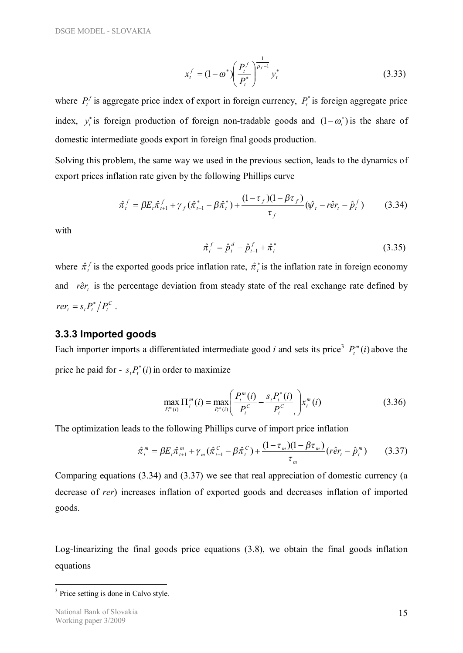$$
x_t^f = (1 - \omega^*) \left( \frac{P_t^f}{P_t^*} \right)^{\frac{1}{\rho_f - 1}} y_t^* \tag{3.33}
$$

where  $P_t^f$  is aggregate price index of export in foreign currency,  $P_t^*$  is foreign aggregate price index,  $y_t^*$  is foreign production of foreign non-tradable goods and  $(1 - \omega_t^*)$  is the share of domestic intermediate goods export in foreign final goods production.

Solving this problem, the same way we used in the previous section, leads to the dynamics of export prices inflation rate given by the following Phillips curve

$$
\hat{\pi}_t^f = \beta E_t \hat{\pi}_{t+1}^f + \gamma_f (\hat{\pi}_{t-1}^* - \beta \hat{\pi}_t^*) + \frac{(1 - \tau_f)(1 - \beta \tau_f)}{\tau_f} (\hat{\psi}_t - r \hat{e} r_t - \hat{p}_t^f)
$$
(3.34)

with

$$
\hat{\pi}_t^f = \hat{p}_t^d - \hat{p}_{t-1}^f + \hat{\pi}_t^* \tag{3.35}
$$

where  $\hat{\pi}_t^f$  is the exported goods price inflation rate,  $\hat{\pi}_t^*$  is the inflation rate in foreign economy and *rêr*<sub>*i*</sub> is the percentage deviation from steady state of the real exchange rate defined by  $r e r_t = s_t P_t^* / P_t^C$ .

#### **3.3.3 Imported goods**

Each importer imports a differentiated intermediate good *i* and sets its price<sup>3</sup>  $P_t^m(i)$  $P_t^m(i)$  above the price he paid for -  $s_t P_t^*(i)$  $*(i)$  in order to maximize

$$
\max_{P_t^m(i)} \Pi_t^m(i) = \max_{P_t^m(i)} \left( \frac{P_t^m(i)}{P_t^C} - \frac{s_t P_t^*(i)}{P_t^C} \right) x_t^m(i)
$$
(3.36)

The optimization leads to the following Phillips curve of import price inflation

$$
\hat{\pi}_t^m = \beta E_t \hat{\pi}_{t+1}^m + \gamma_m (\hat{\pi}_{t-1}^C - \beta \hat{\pi}_t^C) + \frac{(1 - \tau_m)(1 - \beta \tau_m)}{\tau_m} (r \hat{e} r_t - \hat{p}_t^m)
$$
(3.37)

Comparing equations (3.34) and (3.37) we see that real appreciation of domestic currency (a decrease of *rer*) increases inflation of exported goods and decreases inflation of imported goods.

Log-linearizing the final goods price equations (3.8), we obtain the final goods inflation equations

<sup>&</sup>lt;sup>3</sup> Price setting is done in Calvo style.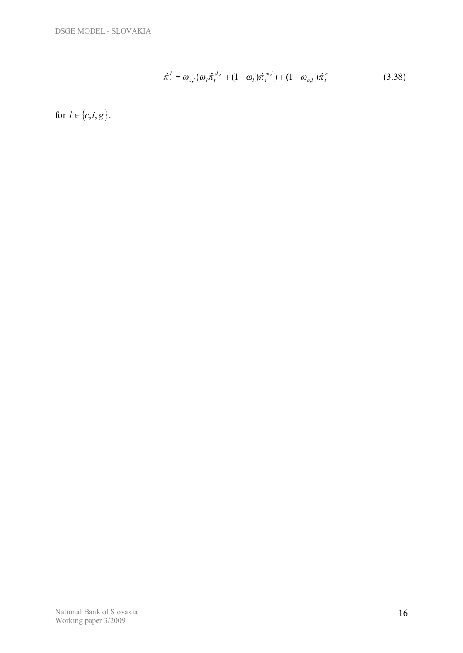$$
\hat{\pi}_t^l = \omega_{e,l} (\omega_l \hat{\pi}_t^{d,l} + (1 - \omega_l) \hat{\pi}_t^{m,l}) + (1 - \omega_{e,l}) \hat{\pi}_t^e
$$
\n(3.38)

for  $l \in \{c, i, g\}.$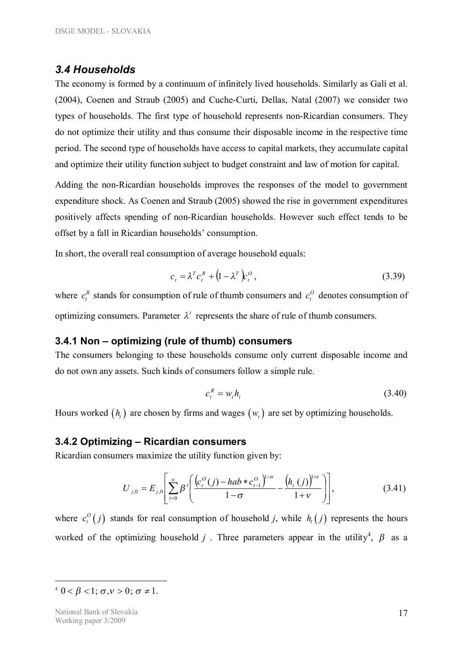#### *3.4 Households*

The economy is formed by a continuum of infinitely lived households. Similarly as Galí et al. (2004), Coenen and Straub (2005) and Cuche-Curti, Dellas, Natal (2007) we consider two types of households. The first type of household represents non-Ricardian consumers. They do not optimize their utility and thus consume their disposable income in the respective time period. The second type of households have access to capital markets, they accumulate capital and optimize their utility function subject to budget constraint and law of motion for capital.

Adding the non-Ricardian households improves the responses of the model to government expenditure shock. As Coenen and Straub (2005) showed the rise in government expenditures positively affects spending of non-Ricardian households. However such effect tends to be offset by a fall in Ricardian households' consumption.

In short, the overall real consumption of average household equals:

$$
c_t = \lambda^T c_t^R + (1 - \lambda^T) c_t^O, \qquad (3.39)
$$

where  $c_i^R$  stands for consumption of rule of thumb consumers and  $c_i^O$  denotes consumption of optimizing consumers. Parameter  $\lambda^t$  represents the share of rule of thumb consumers.

#### **3.4.1 Non – optimizing (rule of thumb) consumers**

The consumers belonging to these households consume only current disposable income and do not own any assets. Such kinds of consumers follow a simple rule.

$$
c_t^R = w_t h_t \tag{3.40}
$$

Hours worked  $(h<sub>i</sub>)$  are chosen by firms and wages  $(w<sub>i</sub>)$  are set by optimizing households.

#### **3.4.2 Optimizing – Ricardian consumers**

Ricardian consumers maximize the utility function given by:

$$
U_{j,0} = E_{j,0} \left[ \sum_{t=0}^{\infty} \beta^t \left( \frac{\left( c_t^O(j) - hab * c_{t-1}^O \right)^{1-\sigma}}{1-\sigma} - \frac{\left( h_t(j) \right)^{1+\nu}}{1+\nu} \right) \right],
$$
(3.41)

where  $c_i^O(j)$  $c_i^{\circ}(j)$  stands for real consumption of household *j*, while  $h_i(j)$  represents the hours worked of the optimizing household *j*. Three parameters appear in the utility<sup>4</sup>,  $\beta$  as a

 $4 \ 0 < \beta < 1; \sigma, v > 0; \sigma \neq 1.$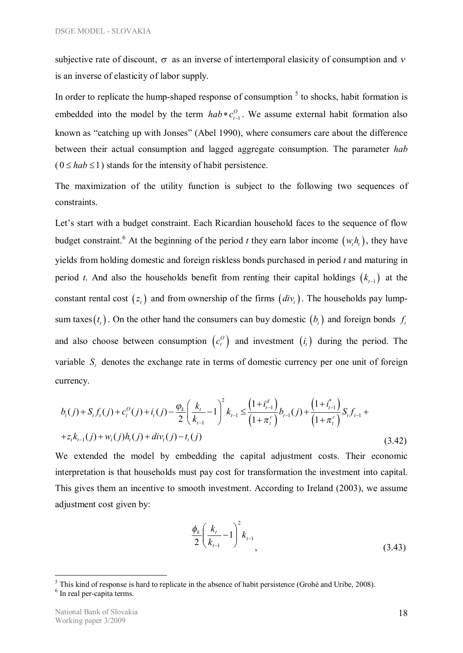subjective rate of discount,  $\sigma$  as an inverse of intertemporal elasicity of consumption and *v* is an inverse of elasticity of labor supply.

In order to replicate the hump-shaped response of consumption  $<sup>5</sup>$  to shocks, habit formation is</sup> embedded into the model by the term  $hab * c_{t-1}^O$  $hab * c_{t-1}^O$ . We assume external habit formation also known as "catching up with Jonses" (Abel 1990), where consumers care about the difference between their actual consumption and lagged aggregate consumption. The parameter *hab*  $(0 \leq hab \leq 1)$  stands for the intensity of habit persistence.

The maximization of the utility function is subject to the following two sequences of constraints.

Let's start with a budget constraint. Each Ricardian household faces to the sequence of flow budget constraint.<sup>6</sup> At the beginning of the period *t* they earn labor income  $(w_i h_i)$ , they have yields from holding domestic and foreign riskless bonds purchased in period *t* and maturing in period *t*. And also the households benefit from renting their capital holdings  $(k_{t-1})$  at the constant rental cost  $(z_i)$  and from ownership of the firms  $\left(\frac{div}{z}\right)$ . The households pay lumpsum taxes  $(t<sub>t</sub>)$ . On the other hand the consumers can buy domestic  $(t<sub>t</sub>)$  and foreign bonds  $f<sub>t</sub>$ and also choose between consumption  $(c_i^O)$  $c_t^{\circ}$  and investment  $(i_t)$  during the period. The variable  $S<sub>t</sub>$  denotes the exchange rate in terms of domestic currency per one unit of foreign currency.

$$
b_{t}(j) + S_{t}f_{t}(j) + c_{t}^{O}(j) + i_{t}(j) - \frac{\varphi_{k}}{2} \left(\frac{k_{t}}{k_{t-1}} - 1\right)^{2} k_{t-1} \leq \frac{\left(1 + i_{t-1}^{d}\right)}{\left(1 + \pi_{t}^{c}\right)} b_{t-1}(j) + \frac{\left(1 + i_{t-1}^{*}\right)}{\left(1 + \pi_{t}^{c}\right)} S_{t}f_{t-1} +
$$
  
+
$$
z_{t}k_{t-1}(j) + w_{t}(j)h_{t}(j) + div_{t}(j) - t_{t}(j)
$$
\n(3.42)

We extended the model by embedding the capital adjustment costs. Their economic interpretation is that households must pay cost for transformation the investment into capital. This gives them an incentive to smooth investment. According to Ireland (2003), we assume adjustment cost given by:

$$
\frac{\phi_k}{2} \left( \frac{k_t}{k_{t-1}} - 1 \right)^2 k_{t-1}, \tag{3.43}
$$

 $<sup>5</sup>$  This kind of response is hard to replicate in the absence of habit persistence (Grohé and Uribe, 2008).</sup>

<sup>&</sup>lt;sup>6</sup> In real per-capita terms.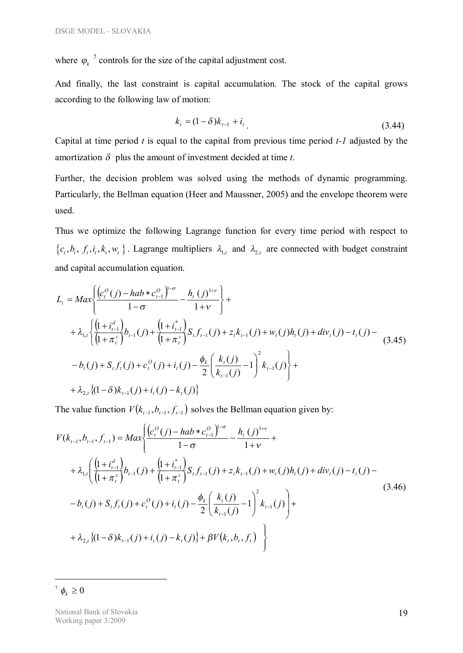where  $\varphi_k^7$  controls for the size of the capital adjustment cost.

And finally, the last constraint is capital accumulation. The stock of the capital grows according to the following law of motion:

$$
k_{t} = (1 - \delta)k_{t-1} + i_{t}
$$
\n(3.44)

Capital at time period *t* is equal to the capital from previous time period *t-1* adjusted by the amortization  $\delta$  plus the amount of investment decided at time *t*.

Further, the decision problem was solved using the methods of dynamic programming. Particularly, the Bellman equation (Heer and Maussner, 2005) and the envelope theorem were used.

Thus we optimize the following Lagrange function for every time period with respect to  $\{c_t, b_t, f_t, i_t, k_t, w_t\}$ . Lagrange multipliers  $\lambda_{1,t}$  and  $\lambda_{2,t}$  are connected with budget constraint and capital accumulation equation.

$$
L_{t} = Max \left\{ \frac{\left(c_{t}^{O}(j) - hab * c_{t-1}^{O}\right)^{1-\sigma}}{1-\sigma} - \frac{h_{t}(j)^{1+\nu}}{1+\nu} \right\} +
$$
  
+  $\lambda_{1,t} \left\{ \frac{\left(1 + i_{t-1}^{d}\right)}{\left(1 + \pi_{t}^{c}\right)} b_{t-1}(j) + \frac{\left(1 + i_{t-1}^{*}\right)}{\left(1 + \pi_{t}^{c}\right)} S_{t} f_{t-1}(j) + z_{t} k_{t-1}(j) + w_{t}(j) h_{t}(j) + div_{t}(j) - t_{t}(j) -$   
-  $b_{t}(j) + S_{t} f_{t}(j) + c_{t}^{O}(j) + i_{t}(j) - \frac{\phi_{k}}{2} \left(\frac{k_{t}(j)}{k_{t-1}(j)} - 1\right)^{2} k_{t-1}(j) \right\} +$   
+  $\lambda_{2,t} \left\{ (1-\delta) k_{t-1}(j) + i_{t}(j) - k_{t}(j) \right\}$  (3.45)

The value function  $V(k_{t-1}, b_{t-1}, f_{t-1})$  solves the Bellman equation given by:

$$
V(k_{t-1}, b_{t-1}, f_{t-1}) = Max \left\{ \frac{\left(c_t^O(j) - hab * c_{t-1}^O\right)^{1-\sigma}}{1-\sigma} - \frac{h_t(j)^{1+\nu}}{1+\nu} + \right. \\ \left. + \lambda_{1,t} \left( \frac{\left(1 + i_{t-1}^d\right)}{\left(1 + \pi_t^c\right)} b_{t-1}(j) + \frac{\left(1 + i_{t-1}^*\right)}{\left(1 + \pi_t^c\right)} S_t f_{t-1}(j) + z_t k_{t-1}(j) + w_t(j) h_t(j) + div_t(j) - t_t(j) - \right. \\ \left. - b_t(j) + S_t f_t(j) + c_t^O(j) + i_t(j) - \frac{\phi_k}{2} \left( \frac{k_t(j)}{k_{t-1}(j)} - 1 \right)^2 k_{t-1}(j) \right) + \\ \left. + \lambda_{2,t} \left\{ (1-\delta) k_{t-1}(j) + i_t(j) - k_t(j) \right\} + \beta V(k_t, b_t, f_t) \right\} \right\}
$$
\n(3.46)

<sup>7</sup>  $\phi_k \ge 0$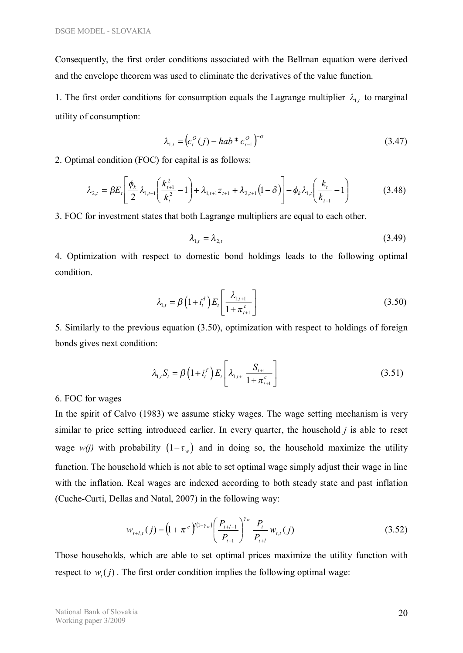Consequently, the first order conditions associated with the Bellman equation were derived and the envelope theorem was used to eliminate the derivatives of the value function.

1. The first order conditions for consumption equals the Lagrange multiplier  $\lambda_{1,t}$  to marginal utility of consumption:

$$
\lambda_{1,t} = \left( c_t^0(j) - hab \ast c_{t-1}^0 \right)^{-\sigma} \tag{3.47}
$$

2. Optimal condition (FOC) for capital is as follows:

$$
\lambda_{2,t} = \beta E_t \left[ \frac{\phi_k}{2} \lambda_{1,t+1} \left( \frac{k_{t+1}^2}{k_t^2} - 1 \right) + \lambda_{1,t+1} z_{t+1} + \lambda_{2,t+1} (1 - \delta) \right] - \phi_k \lambda_{1,t} \left( \frac{k_t}{k_{t-1}} - 1 \right)
$$
(3.48)

3. FOC for investment states that both Lagrange multipliers are equal to each other.

$$
\lambda_{1,t} = \lambda_{2,t} \tag{3.49}
$$

4. Optimization with respect to domestic bond holdings leads to the following optimal condition.

$$
\lambda_{1,t} = \beta \left( 1 + i_t^d \right) E_t \left[ \frac{\lambda_{1,t+1}}{1 + \pi_{t+1}^c} \right] \tag{3.50}
$$

5. Similarly to the previous equation (3.50), optimization with respect to holdings of foreign bonds gives next condition:

$$
\lambda_{1,t} S_t = \beta \left( 1 + i_t^f \right) E_t \left[ \lambda_{1,t+1} \frac{S_{t+1}}{1 + \pi_{t+1}^c} \right] \tag{3.51}
$$

#### 6. FOC for wages

In the spirit of Calvo (1983) we assume sticky wages. The wage setting mechanism is very similar to price setting introduced earlier. In every quarter, the household *j* is able to reset wage *w(j)* with probability  $(1-\tau_w)$  and in doing so, the household maximize the utility function. The household which is not able to set optimal wage simply adjust their wage in line with the inflation. Real wages are indexed according to both steady state and past inflation (Cuche-Curti, Dellas and Natal, 2007) in the following way:

$$
w_{t+l,t}(j) = \left(1 + \pi^{c}\right)^{l(1-\gamma_{w})} \left(\frac{P_{t+l-1}}{P_{t-1}}\right)^{\gamma_{w}} \frac{P_{t}}{P_{t+l}} w_{t,t}(j)
$$
(3.52)

Those households, which are able to set optimal prices maximize the utility function with respect to  $w_t(j)$ . The first order condition implies the following optimal wage: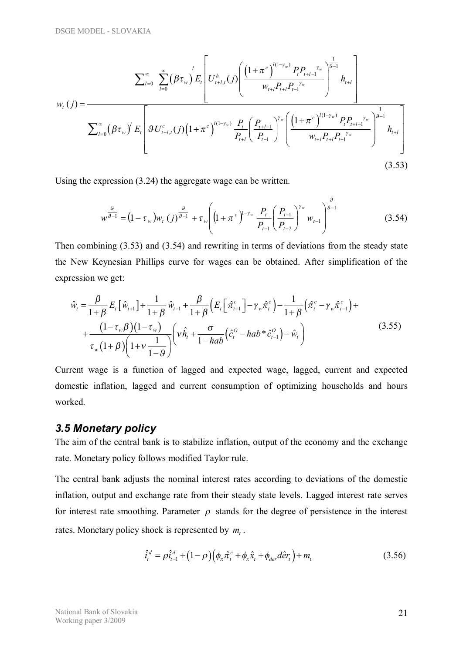$$
\sum_{l=0}^{\infty} \sum_{l=0}^{\infty} (\beta \tau_{w})^{l} E_{t} \left[ U_{t+l,t}^{h}(j) \left( \frac{\left(1 + \pi^{c}\right)^{l(1-\gamma_{w})} P_{t} P_{t+l-1}^{\gamma_{w}}}{w_{t+l} P_{t+l-1} P_{t-l}} \right)^{\frac{1}{\beta-1}} h_{t+l} \right] \times \sum_{l=0}^{\infty} (\beta \tau_{w})^{l} E_{t} \left[ \mathcal{G} U_{t+l,t}^{c}(j) \left(1 + \pi^{c}\right)^{l(1-\gamma_{w})} \frac{P_{t}}{P_{t+l}} \left( \frac{P_{t+l-1}}{P_{t-l}} \right)^{\gamma_{w}} \left( \frac{\left(1 + \pi^{c}\right)^{l(1-\gamma_{w})} P_{t} P_{t+l-1}^{\gamma_{w}}}{w_{t+l} P_{t+l} P_{t-l}} \right)^{\frac{1}{\beta-1}} h_{t+l} \right] \right]
$$
\n(3.53)

Using the expression (3.24) the aggregate wage can be written.

$$
w^{\frac{9}{9-1}} = (1 - \tau_w) w_t(j)^{\frac{9}{9-1}} + \tau_w \left( (1 + \pi^c)^{1-\gamma_w} \frac{P_t}{P_{t-1}} \left( \frac{P_{t-1}}{P_{t-2}} \right)^{\gamma_w} w_{t-1} \right)^{\frac{9}{9-1}}
$$
(3.54)

Then combining (3.53) and (3.54) and rewriting in terms of deviations from the steady state the New Keynesian Phillips curve for wages can be obtained. After simplification of the expression we get:

$$
\hat{w}_{t} = \frac{\beta}{1+\beta} E_{t} \left[ \hat{w}_{t+1} \right] + \frac{1}{1+\beta} \hat{w}_{t-1} + \frac{\beta}{1+\beta} \left( E_{t} \left[ \hat{\pi}_{t+1}^{c} \right] - \gamma_{w} \hat{\pi}_{t}^{c} \right) - \frac{1}{1+\beta} \left( \hat{\pi}_{t}^{c} - \gamma_{w} \hat{\pi}_{t-1}^{c} \right) + \frac{\left( 1 - \tau_{w} \beta \right) \left( 1 - \tau_{w} \right)}{\tau_{w} \left( 1 + \beta \right) \left( 1 + v \frac{1}{1-\beta} \right)} \left( v \hat{h}_{t} + \frac{\sigma}{1 - hab} \left( \hat{c}_{t}^{o} - hab \hat{\pi}_{t-1}^{o} \right) - \hat{w}_{t} \right)
$$
\n(3.55)

Current wage is a function of lagged and expected wage, lagged, current and expected domestic inflation, lagged and current consumption of optimizing households and hours worked.

#### *3.5 Monetary policy*

The aim of the central bank is to stabilize inflation, output of the economy and the exchange rate. Monetary policy follows modified Taylor rule.

The central bank adjusts the nominal interest rates according to deviations of the domestic inflation, output and exchange rate from their steady state levels. Lagged interest rate serves for interest rate smoothing. Parameter  $\rho$  stands for the degree of persistence in the interest rates. Monetary policy shock is represented by *m<sup>t</sup>* .

$$
\hat{i}_t^d = \rho \hat{i}_{t-1}^d + (1 - \rho) \Big( \phi_\pi \hat{\pi}_t^c + \phi_x \hat{x}_t + \phi_{\text{der}} d\hat{e} r_t \Big) + m_t
$$
\n(3.56)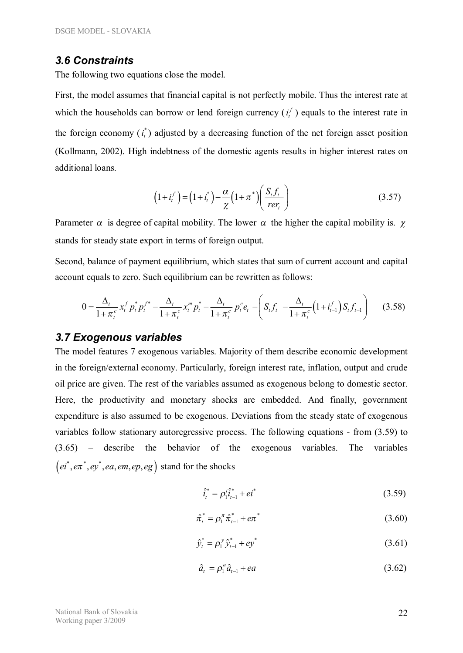#### *3.6 Constraints*

The following two equations close the model.

First, the model assumes that financial capital is not perfectly mobile. Thus the interest rate at which the households can borrow or lend foreign currency  $(i_t^f)$  equals to the interest rate in the foreign economy  $(i_t^*)$  adjusted by a decreasing function of the net foreign asset position (Kollmann, 2002). High indebtness of the domestic agents results in higher interest rates on additional loans.

$$
\left(1+i_t^f\right) = \left(1+i_t^*\right) - \frac{\alpha}{\chi}\left(1+\pi^*\right)\left(\frac{S_tf_t}{rer_t}\right) \tag{3.57}
$$

Parameter  $\alpha$  is degree of capital mobility. The lower  $\alpha$  the higher the capital mobility is.  $\chi$ stands for steady state export in terms of foreign output.

Second, balance of payment equilibrium, which states that sum of current account and capital account equals to zero. Such equilibrium can be rewritten as follows:

$$
0 = \frac{\Delta_t}{1 + \pi_t^c} x_t^f p_t^* p_t^{f^*} - \frac{\Delta_t}{1 + \pi_t^c} x_t^m p_t^* - \frac{\Delta_t}{1 + \pi_t^c} p_t^e e_t - \left( S_t f_t - \frac{\Delta_t}{1 + \pi_t^c} \left( 1 + i_{t-1}^f \right) S_t f_{t-1} \right) \tag{3.58}
$$

#### *3.7 Exogenous variables*

The model features 7 exogenous variables. Majority of them describe economic development in the foreign/external economy. Particularly, foreign interest rate, inflation, output and crude oil price are given. The rest of the variables assumed as exogenous belong to domestic sector. Here, the productivity and monetary shocks are embedded. And finally, government expenditure is also assumed to be exogenous. Deviations from the steady state of exogenous variables follow stationary autoregressive process. The following equations - from (3.59) to (3.65) – describe the behavior of the exogenous variables. The variables  $(e^{i^*}, e\pi^*, e^{i^*}, ea, em, ep, eg)$  stand for the shocks

$$
\hat{i}_t^* = \rho_1^i \hat{i}_{t-1}^* + ei^* \tag{3.59}
$$

$$
\hat{\pi}_t^* = \rho_1^{\pi} \hat{\pi}_{t-1}^* + e\pi^* \tag{3.60}
$$

$$
\hat{y}_t^* = \rho_1^{\nu} \hat{y}_{t-1}^* + e y^* \tag{3.61}
$$

$$
\hat{a}_t = \rho_1^a \hat{a}_{t-1} + ea \tag{3.62}
$$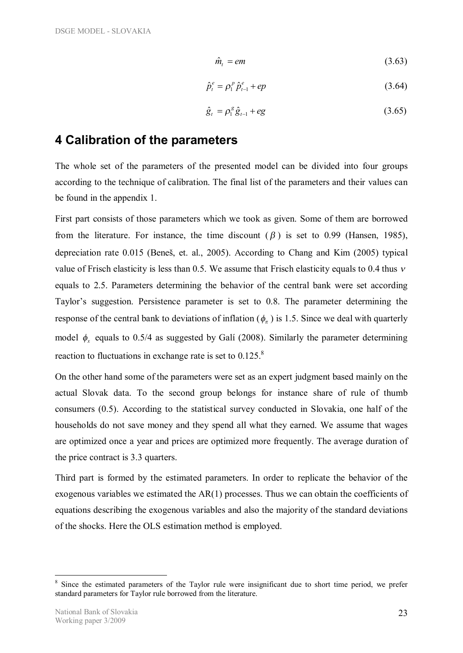$$
\hat{m}_t = em \tag{3.63}
$$

$$
\hat{p}_t^e = \rho_1^p \, \hat{p}_{t-1}^e + ep \tag{3.64}
$$

$$
\hat{g}_t = \rho_1^g \hat{g}_{t-1} + eg \tag{3.65}
$$

### **4 Calibration of the parameters**

The whole set of the parameters of the presented model can be divided into four groups according to the technique of calibration. The final list of the parameters and their values can be found in the appendix 1.

First part consists of those parameters which we took as given. Some of them are borrowed from the literature. For instance, the time discount  $(\beta)$  is set to 0.99 (Hansen, 1985), depreciation rate 0.015 (Beneš, et. al., 2005). According to Chang and Kim (2005) typical value of Frisch elasticity is less than 0.5. We assume that Frisch elasticity equals to 0.4 thus *<sup>n</sup>* equals to 2.5. Parameters determining the behavior of the central bank were set according Taylor's suggestion. Persistence parameter is set to 0.8. The parameter determining the response of the central bank to deviations of inflation ( $\phi_{\pi}$ ) is 1.5. Since we deal with quarterly model  $\phi$ <sub>x</sub> equals to 0.5/4 as suggested by Galí (2008). Similarly the parameter determining reaction to fluctuations in exchange rate is set to  $0.125$ .<sup>8</sup>

On the other hand some of the parameters were set as an expert judgment based mainly on the actual Slovak data. To the second group belongs for instance share of rule of thumb consumers (0.5). According to the statistical survey conducted in Slovakia, one half of the households do not save money and they spend all what they earned. We assume that wages are optimized once a year and prices are optimized more frequently. The average duration of the price contract is 3.3 quarters.

Third part is formed by the estimated parameters. In order to replicate the behavior of the exogenous variables we estimated the AR(1) processes. Thus we can obtain the coefficients of equations describing the exogenous variables and also the majority of the standard deviations of the shocks. Here the OLS estimation method is employed.

<sup>8</sup> Since the estimated parameters of the Taylor rule were insignificant due to short time period, we prefer standard parameters for Taylor rule borrowed from the literature.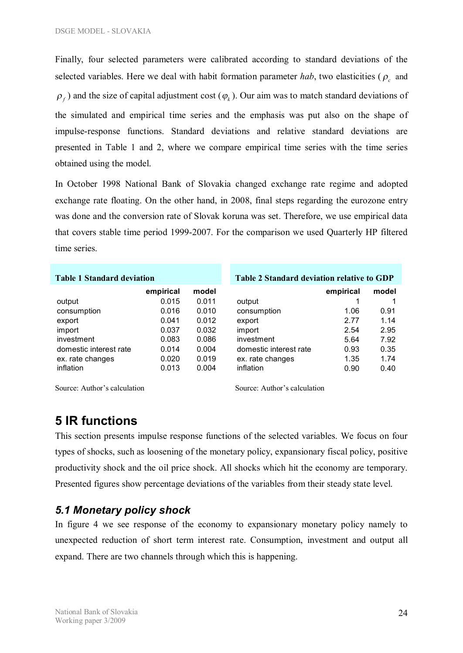Finally, four selected parameters were calibrated according to standard deviations of the selected variables. Here we deal with habit formation parameter  $hab$ , two elasticities ( $\rho_c$  and  $\rho_f$ ) and the size of capital adjustment cost ( $\varphi_k$ ). Our aim was to match standard deviations of the simulated and empirical time series and the emphasis was put also on the shape of impulse-response functions. Standard deviations and relative standard deviations are presented in Table 1 and 2, where we compare empirical time series with the time series obtained using the model.

In October 1998 National Bank of Slovakia changed exchange rate regime and adopted exchange rate floating. On the other hand, in 2008, final steps regarding the eurozone entry was done and the conversion rate of Slovak koruna was set. Therefore, we use empirical data that covers stable time period 1999-2007. For the comparison we used Quarterly HP filtered time series.

| <b>Table 1 Standard deviation</b> |           |       | <b>Table 2 Standard deviation relative to GDP</b> |           |       |  |
|-----------------------------------|-----------|-------|---------------------------------------------------|-----------|-------|--|
|                                   | empirical | model |                                                   | empirical | model |  |
| output                            | 0.015     | 0.011 | output                                            |           |       |  |
| consumption                       | 0.016     | 0.010 | consumption                                       | 1.06      | 0.91  |  |
| export                            | 0.041     | 0.012 | export                                            | 2.77      | 1.14  |  |
| import                            | 0.037     | 0.032 | import                                            | 2.54      | 2.95  |  |
| investment                        | 0.083     | 0.086 | investment                                        | 5.64      | 7.92  |  |
| domestic interest rate            | 0.014     | 0.004 | domestic interest rate                            | 0.93      | 0.35  |  |
| ex. rate changes                  | 0.020     | 0.019 | ex. rate changes                                  | 1.35      | 1.74  |  |
| inflation                         | 0.013     | 0.004 | inflation                                         | 0.90      | 0.40  |  |

Source: Author's calculation Source: Author's calculation

# **5 IR functions**

This section presents impulse response functions of the selected variables. We focus on four types of shocks, such as loosening of the monetary policy, expansionary fiscal policy, positive productivity shock and the oil price shock. All shocks which hit the economy are temporary. Presented figures show percentage deviations of the variables from their steady state level.

### *5.1 Monetary policy shock*

In figure 4 we see response of the economy to expansionary monetary policy namely to unexpected reduction of short term interest rate. Consumption, investment and output all expand. There are two channels through which this is happening.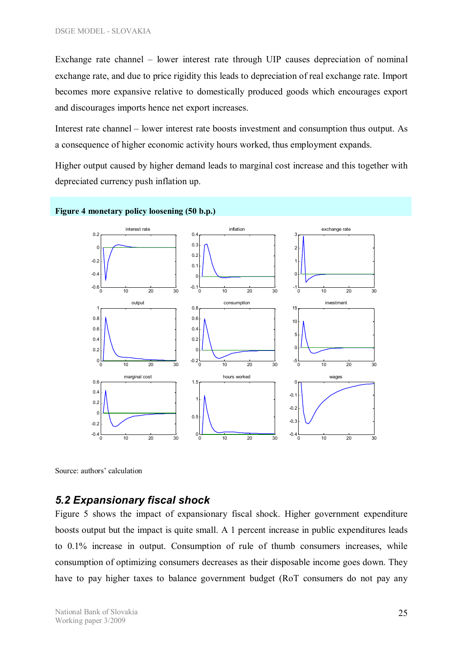Exchange rate channel – lower interest rate through UIP causes depreciation of nominal exchange rate, and due to price rigidity this leads to depreciation of real exchange rate. Import becomes more expansive relative to domestically produced goods which encourages export and discourages imports hence net export increases.

Interest rate channel – lower interest rate boosts investment and consumption thus output. As a consequence of higher economic activity hours worked, thus employment expands.

Higher output caused by higher demand leads to marginal cost increase and this together with depreciated currency push inflation up.



Source: authors' calculation

#### *5.2 Expansionary fiscal shock*

Figure 5 shows the impact of expansionary fiscal shock. Higher government expenditure boosts output but the impact is quite small. A 1 percent increase in public expenditures leads to 0.1% increase in output. Consumption of rule of thumb consumers increases, while consumption of optimizing consumers decreases as their disposable income goes down. They have to pay higher taxes to balance government budget (RoT consumers do not pay any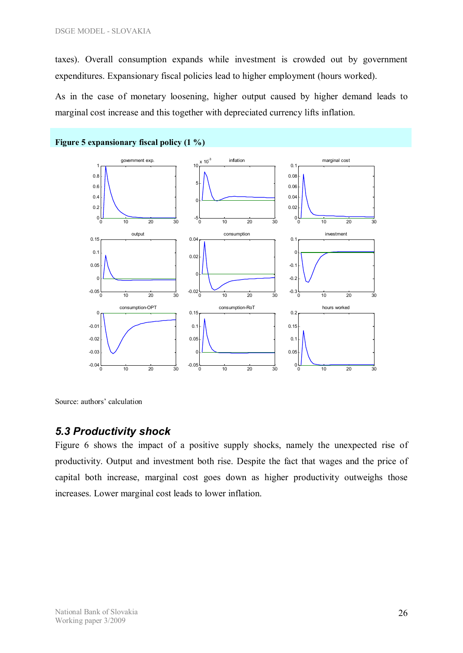taxes). Overall consumption expands while investment is crowded out by government expenditures. Expansionary fiscal policies lead to higher employment (hours worked).

As in the case of monetary loosening, higher output caused by higher demand leads to marginal cost increase and this together with depreciated currency lifts inflation.



Source: authors' calculation

#### *5.3 Productivity shock*

Figure 6 shows the impact of a positive supply shocks, namely the unexpected rise of productivity. Output and investment both rise. Despite the fact that wages and the price of capital both increase, marginal cost goes down as higher productivity outweighs those increases. Lower marginal cost leads to lower inflation.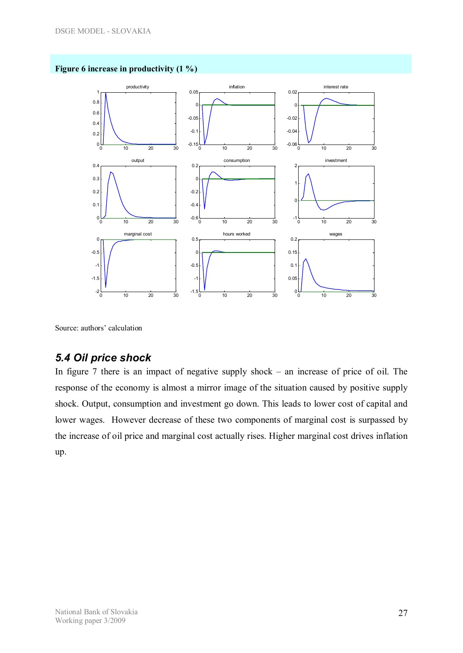

#### **Figure 6 increase in productivity (1 %)**

Source: authors' calculation

### *5.4 Oil price shock*

In figure 7 there is an impact of negative supply shock – an increase of price of oil. The response of the economy is almost a mirror image of the situation caused by positive supply shock. Output, consumption and investment go down. This leads to lower cost of capital and lower wages. However decrease of these two components of marginal cost is surpassed by the increase of oil price and marginal cost actually rises. Higher marginal cost drives inflation up.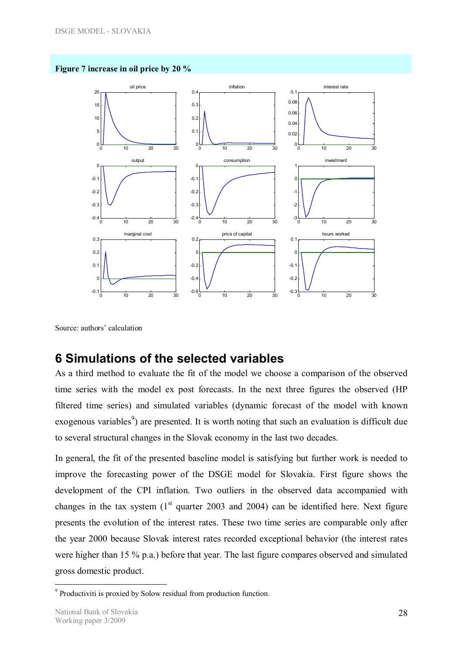



Source: authors' calculation

### **6 Simulations of the selected variables**

As a third method to evaluate the fit of the model we choose a comparison of the observed time series with the model ex post forecasts. In the next three figures the observed (HP filtered time series) and simulated variables (dynamic forecast of the model with known exogenous variables<sup>9</sup>) are presented. It is worth noting that such an evaluation is difficult due to several structural changes in the Slovak economy in the last two decades.

In general, the fit of the presented baseline model is satisfying but further work is needed to improve the forecasting power of the DSGE model for Slovakia. First figure shows the development of the CPI inflation. Two outliers in the observed data accompanied with changes in the tax system  $(1<sup>st</sup>$  quarter 2003 and 2004) can be identified here. Next figure presents the evolution of the interest rates. These two time series are comparable only after the year 2000 because Slovak interest rates recorded exceptional behavior (the interest rates were higher than 15 % p.a.) before that year. The last figure compares observed and simulated gross domestic product.

 $\overline{a}$ <sup>9</sup> Productiviti is proxied by Solow residual from production function.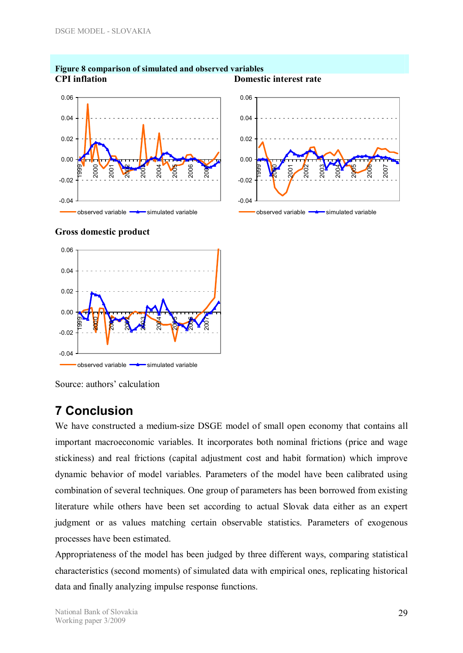

#### **Figure 8 comparison of simulated and observed variables CPI inflation Domestic interest rate**



#### **Gross domestic product**





Source: authors' calculation

### **7 Conclusion**

We have constructed a medium-size DSGE model of small open economy that contains all important macroeconomic variables. It incorporates both nominal frictions (price and wage stickiness) and real frictions (capital adjustment cost and habit formation) which improve dynamic behavior of model variables. Parameters of the model have been calibrated using combination of several techniques. One group of parameters has been borrowed from existing literature while others have been set according to actual Slovak data either as an expert judgment or as values matching certain observable statistics. Parameters of exogenous processes have been estimated.

Appropriateness of the model has been judged by three different ways, comparing statistical characteristics (second moments) of simulated data with empirical ones, replicating historical data and finally analyzing impulse response functions.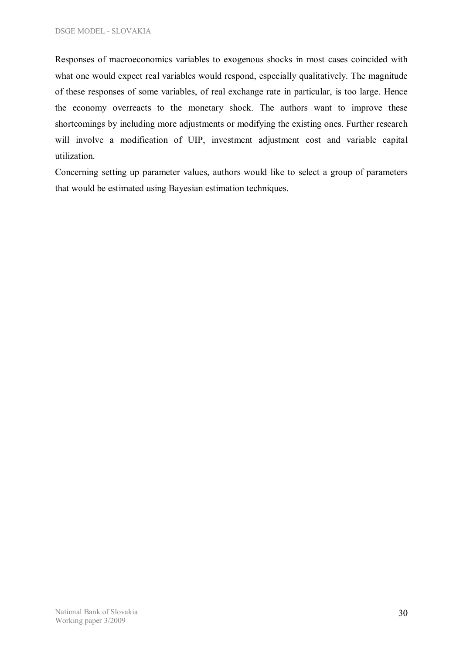Responses of macroeconomics variables to exogenous shocks in most cases coincided with what one would expect real variables would respond, especially qualitatively. The magnitude of these responses of some variables, of real exchange rate in particular, is too large. Hence the economy overreacts to the monetary shock. The authors want to improve these shortcomings by including more adjustments or modifying the existing ones. Further research will involve a modification of UIP, investment adjustment cost and variable capital utilization.

Concerning setting up parameter values, authors would like to select a group of parameters that would be estimated using Bayesian estimation techniques.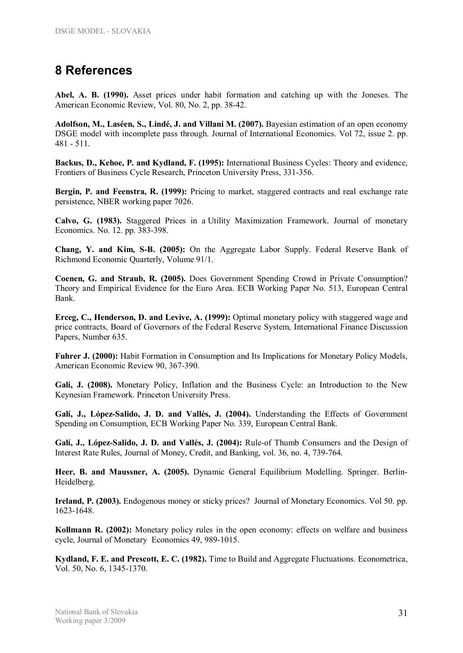# **8 References**

**Abel, A. B. (1990).** Asset prices under habit formation and catching up with the Joneses. The American Economic Review, Vol. 80, No. 2, pp. 38-42.

**Adolfson, M., Laséen, S., Lindé, J. and Villani M. (2007).** Bayesian estimation of an open economy DSGE model with incomplete pass through. Journal of International Economics. Vol 72, issue 2. pp. 481 - 511.

**Backus, D., Kehoe, P. and Kydland, F. (1995):** International Business Cycles: Theory and evidence, Frontiers of Business Cycle Research, Princeton University Press, 331-356.

**Bergin, P. and Feenstra, R. (1999):** Pricing to market, staggered contracts and real exchange rate persistence, NBER working paper 7026.

**Calvo, G. (1983).** Staggered Prices in a Utility Maximization Framework. Journal of monetary Economics. No. 12. pp. 383-398.

**Chang, Y. and Kim, S-B. (2005):** On the Aggregate Labor Supply. Federal Reserve Bank of Richmond Economic Quarterly, Volume 91/1.

**Coenen, G. and Straub, R. (2005).** Does Government Spending Crowd in Private Consumption? Theory and Empirical Evidence for the Euro Area. ECB Working Paper No. 513, European Central Bank.

**Erceg, C., Henderson, D. and Levive, A. (1999):** Optimal monetary policy with staggered wage and price contracts, Board of Governors of the Federal Reserve System, International Finance Discussion Papers, Number 635.

**Fuhrer J. (2000):** Habit Formation in Consumption and Its Implications for Monetary Policy Models, American Economic Review 90, 367-390.

**Galí, J. (2008).** Monetary Policy, Inflation and the Business Cycle: an Introduction to the New Keynesian Framework. Princeton University Press.

**Galí, J., López-Salido, J. D. and Vallés, J. (2004).** Understanding the Effects of Government Spending on Consumption, ECB Working Paper No. 339, European Central Bank.

**Galí, J., López-Salido, J. D. and Vallés, J. (2004):** Rule-of Thumb Consumers and the Design of Interest Rate Rules, Journal of Money, Credit, and Banking, vol. 36, no. 4, 739-764.

**Heer, B. and Maussner, A. (2005).** Dynamic General Equilibrium Modelling. Springer. Berlin-Heidelberg.

**Ireland, P. (2003).** Endogenous money or sticky prices? Journal of Monetary Economics. Vol 50. pp. 1623-1648.

**Kollmann R. (2002):** Monetary policy rules in the open economy: effects on welfare and business cycle, Journal of Monetary Economics 49, 989-1015.

**Kydland, F. E. and Prescott, E. C. (1982).** Time to Build and Aggregate Fluctuations. Econometrica, Vol. 50, No. 6, 1345-1370.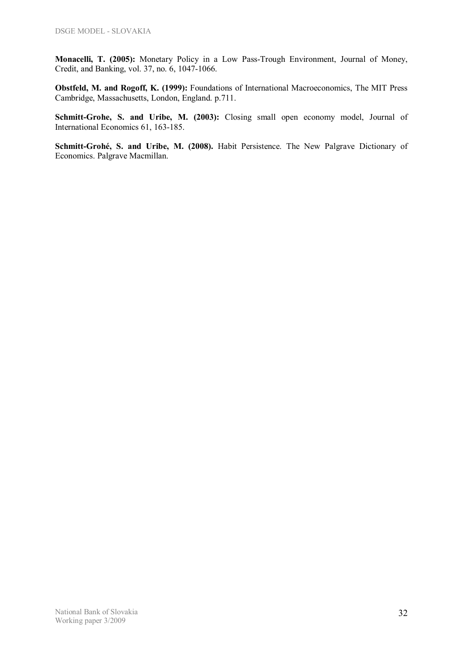**Monacelli, T. (2005):** Monetary Policy in a Low Pass-Trough Environment, Journal of Money, Credit, and Banking, vol. 37, no. 6, 1047-1066.

**Obstfeld, M. and Rogoff, K. (1999):** Foundations of International Macroeconomics, The MIT Press Cambridge, Massachusetts, London, England. p.711.

**Schmitt-Grohe, S. and Uribe, M. (2003):** Closing small open economy model, Journal of International Economics 61, 163-185.

**Schmitt-Grohé, S. and Uribe, M. (2008).** Habit Persistence. The New Palgrave Dictionary of Economics. Palgrave Macmillan.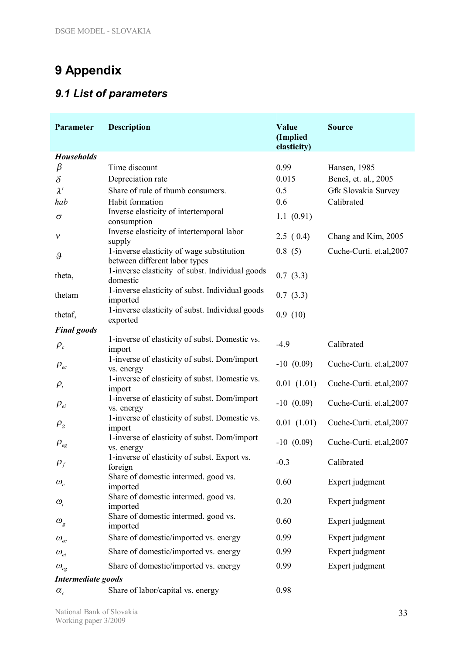# **9 Appendix**

# *9.1 List of parameters*

| Parameter                        | <b>Description</b>                                                         | Value<br>(Implied<br>elasticity) | <b>Source</b>            |  |  |  |
|----------------------------------|----------------------------------------------------------------------------|----------------------------------|--------------------------|--|--|--|
| <b>Households</b>                |                                                                            |                                  |                          |  |  |  |
| $\beta$                          | Time discount                                                              | 0.99                             | Hansen, 1985             |  |  |  |
| $\delta$                         | Depreciation rate                                                          | 0.015                            | Beneš, et. al., 2005     |  |  |  |
| $\lambda^t$                      | Share of rule of thumb consumers.                                          | 0.5                              | Gfk Slovakia Survey      |  |  |  |
| hab                              | Habit formation                                                            | 0.6                              | Calibrated               |  |  |  |
| $\sigma$                         | Inverse elasticity of intertemporal                                        | 1.1(0.91)                        |                          |  |  |  |
|                                  | consumption                                                                |                                  |                          |  |  |  |
| v                                | Inverse elasticity of intertemporal labor<br>supply                        | 2.5(0.4)                         | Chang and Kim, 2005      |  |  |  |
| $\vartheta$                      | 1-inverse elasticity of wage substitution<br>between different labor types | 0.8(5)                           | Cuche-Curti. et.al, 2007 |  |  |  |
| theta,                           | 1-inverse elasticity of subst. Individual goods<br>domestic                | 0.7(3.3)                         |                          |  |  |  |
| thetam                           | 1-inverse elasticity of subst. Individual goods<br>imported                | 0.7(3.3)                         |                          |  |  |  |
| thetaf,                          | 1-inverse elasticity of subst. Individual goods<br>exported                | 0.9(10)                          |                          |  |  |  |
| <b>Final</b> goods               |                                                                            |                                  |                          |  |  |  |
| $\rho_c$                         | 1-inverse of elasticity of subst. Domestic vs.<br>import                   | $-4.9$                           | Calibrated               |  |  |  |
| $\rho_{ec}$                      | 1-inverse of elasticity of subst. Dom/import<br>vs. energy                 | $-10(0.09)$                      | Cuche-Curti. et.al, 2007 |  |  |  |
| $\rho_i$                         | 1-inverse of elasticity of subst. Domestic vs.<br>import                   | 0.01(1.01)                       | Cuche-Curti. et.al,2007  |  |  |  |
| $\rho_{\scriptscriptstyle ei}$   | 1-inverse of elasticity of subst. Dom/import<br>vs. energy                 | $-10(0.09)$                      | Cuche-Curti. et.al, 2007 |  |  |  |
| $\rho_{_g}$                      | 1-inverse of elasticity of subst. Domestic vs.<br>import                   | 0.01(1.01)                       | Cuche-Curti. et.al, 2007 |  |  |  |
| $\rho_{\tiny{eg}}$               | 1-inverse of elasticity of subst. Dom/import<br>vs. energy                 | $-10(0.09)$                      | Cuche-Curti. et.al,2007  |  |  |  |
| $\rho_{f}$                       | 1-inverse of elasticity of subst. Export vs.<br>foreign                    | $-0.3$                           | Calibrated               |  |  |  |
| $\omega_c$                       | Share of domestic intermed. good vs.<br>imported                           | 0.60                             | Expert judgment          |  |  |  |
| $\omega_i$                       | Share of domestic intermed. good vs.<br>imported                           | 0.20                             | Expert judgment          |  |  |  |
| $\omega_{g}$                     | Share of domestic intermed. good vs.<br>imported                           | 0.60                             | Expert judgment          |  |  |  |
| $\omega_{\scriptscriptstyle ec}$ | Share of domestic/imported vs. energy                                      | 0.99                             | Expert judgment          |  |  |  |
| $\omega_{ei}$                    | Share of domestic/imported vs. energy                                      | 0.99                             | Expert judgment          |  |  |  |
| $\omega_{\rm eg}$                | Share of domestic/imported vs. energy                                      | 0.99                             | Expert judgment          |  |  |  |
| Intermediate goods               |                                                                            |                                  |                          |  |  |  |
| $\alpha_{\rm c}$                 | Share of labor/capital vs. energy                                          | 0.98                             |                          |  |  |  |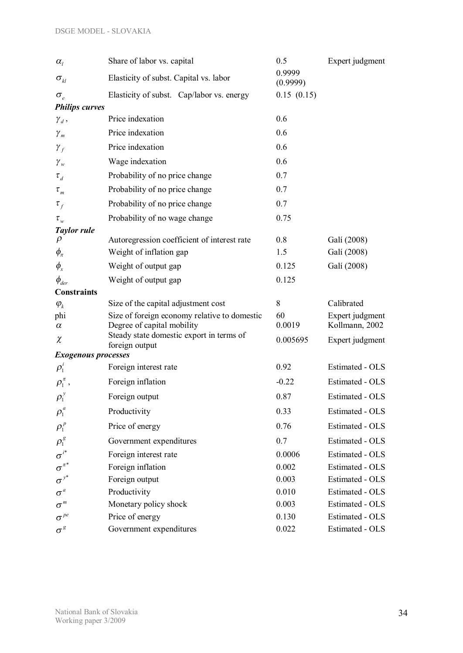| $\alpha_{I}$                     | Share of labor vs. capital                                                 | 0.5                | Expert judgment                   |
|----------------------------------|----------------------------------------------------------------------------|--------------------|-----------------------------------|
| $\sigma_{\scriptscriptstyle kl}$ | Elasticity of subst. Capital vs. labor                                     | 0.9999<br>(0.9999) |                                   |
| $\sigma_{e}$                     | Elasticity of subst. Cap/labor vs. energy                                  | 0.15(0.15)         |                                   |
| <b>Philips curves</b>            |                                                                            |                    |                                   |
| $\gamma_d$ ,                     | Price indexation                                                           | 0.6                |                                   |
| $\gamma_m$                       | Price indexation                                                           | 0.6                |                                   |
| $\gamma_{f}$                     | Price indexation                                                           | 0.6                |                                   |
| $\gamma_w$                       | Wage indexation                                                            | 0.6                |                                   |
| $\tau_{d}$                       | Probability of no price change                                             | 0.7                |                                   |
| $\tau_{\scriptscriptstyle m}$    | Probability of no price change                                             | 0.7                |                                   |
| $\tau_f$                         | Probability of no price change                                             | 0.7                |                                   |
| $\tau_{w}$                       | Probability of no wage change                                              | 0.75               |                                   |
| <b>Taylor rule</b>               |                                                                            |                    |                                   |
| $\rho$                           | Autoregression coefficient of interest rate                                | 0.8                | Galí (2008)                       |
| $\phi_{\pi}$                     | Weight of inflation gap                                                    | 1.5                | Galí (2008)                       |
| $\phi_x$                         | Weight of output gap                                                       | 0.125              | Galí (2008)                       |
| $\phi_{\rm der}$                 | Weight of output gap                                                       | 0.125              |                                   |
| <b>Constraints</b>               |                                                                            |                    |                                   |
| $\varphi_k$                      | Size of the capital adjustment cost                                        | 8                  | Calibrated                        |
| phi                              | Size of foreign economy relative to domestic<br>Degree of capital mobility | 60<br>0.0019       | Expert judgment<br>Kollmann, 2002 |
| $\alpha$                         | Steady state domestic export in terms of                                   |                    |                                   |
| $\chi$                           | foreign output                                                             | 0.005695           | Expert judgment                   |
| <b>Exogenous processes</b>       |                                                                            |                    |                                   |
| $\rho_1^i$                       | Foreign interest rate                                                      | 0.92               | Estimated - OLS                   |
| $\rho_1^{\pi}$ ,                 | Foreign inflation                                                          | $-0.22$            | Estimated - OLS                   |
| $\rho_1^{\ y}$                   | Foreign output                                                             | 0.87               | Estimated - OLS                   |
| $\rho_1^{\,a}$                   | Productivity                                                               | 0.33               | Estimated - OLS                   |
| $\rho_1^{\ p}$                   | Price of energy                                                            | 0.76               | Estimated - OLS                   |
| $\rho_{\rm l}^{\,s}$             | Government expenditures                                                    | 0.7                | Estimated - OLS                   |
| $\sigma^{i^*}$                   | Foreign interest rate                                                      | 0.0006             | Estimated - OLS                   |
| $\sigma^{\pi^*}$                 | Foreign inflation                                                          | 0.002              | Estimated - OLS                   |
| $\sigma^{y^*}$                   | Foreign output                                                             | 0.003              | Estimated - OLS                   |
| $\sigma^{\scriptscriptstyle a}$  | Productivity                                                               | 0.010              | Estimated - OLS                   |
| $\sigma^{^m}$                    | Monetary policy shock                                                      | 0.003              | Estimated - OLS                   |
| $\sigma^{\textit{pe}}$           | Price of energy                                                            | 0.130              | Estimated - OLS                   |
| $\sigma^g$                       | Government expenditures                                                    | 0.022              | Estimated - OLS                   |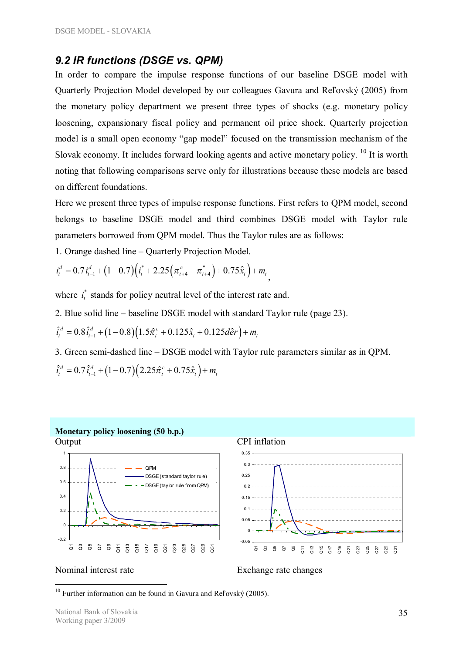### *9.2 IR functions (DSGE vs. QPM)*

In order to compare the impulse response functions of our baseline DSGE model with Quarterly Projection Model developed by our colleagues Gavura and Reľovský (2005) from the monetary policy department we present three types of shocks (e.g. monetary policy loosening, expansionary fiscal policy and permanent oil price shock. Quarterly projection model is a small open economy "gap model" focused on the transmission mechanism of the Slovak economy. It includes forward looking agents and active monetary policy. <sup>10</sup> It is worth noting that following comparisons serve only for illustrations because these models are based on different foundations.

Here we present three types of impulse response functions. First refers to QPM model, second belongs to baseline DSGE model and third combines DSGE model with Taylor rule parameters borrowed from QPM model. Thus the Taylor rules are as follows:

1. Orange dashed line – Quarterly Projection Model.

$$
i_t^d = 0.7 i_{t-1}^d + (1 - 0.7) (i_t^* + 2.25 (\pi_{t+4}^c - \pi_{t+4}^*) + 0.75 \hat{x}_t) + m_t
$$

where  $i_t^*$  stands for policy neutral level of the interest rate and.

2. Blue solid line – baseline DSGE model with standard Taylor rule (page 23).

$$
\hat{i}_t^d = 0.8 \hat{i}_{t-1}^d + (1 - 0.8)(1.5 \hat{\pi}_t^c + 0.125 \hat{x}_t + 0.125 d\hat{e}r) + m_t
$$

3. Green semi-dashed line – DSGE model with Taylor rule parameters similar as in QPM.  $\hat{i}_t^d = 0.7 \hat{i}_{t-1}^d + (1 - 0.7)(2.25 \hat{\pi}_t^c + 0.75 \hat{x}_t) + m_t$ 







 $\overline{a}$ 

Nominal interest rate Exchange rate changes

<sup>&</sup>lt;sup>10</sup> Further information can be found in Gavura and Reľovský (2005).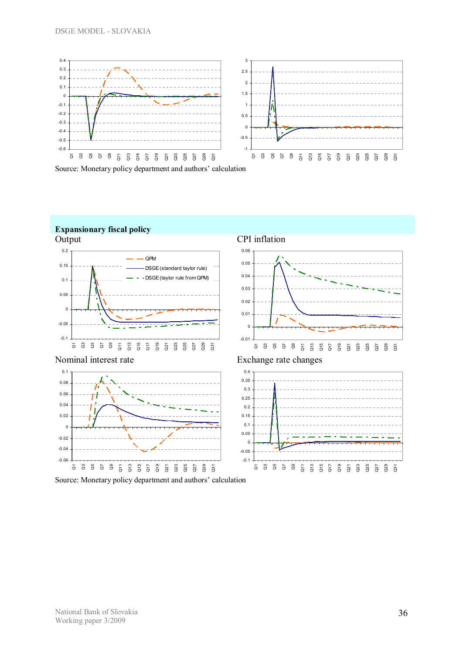





Source: Monetary policy department and authors' calculation